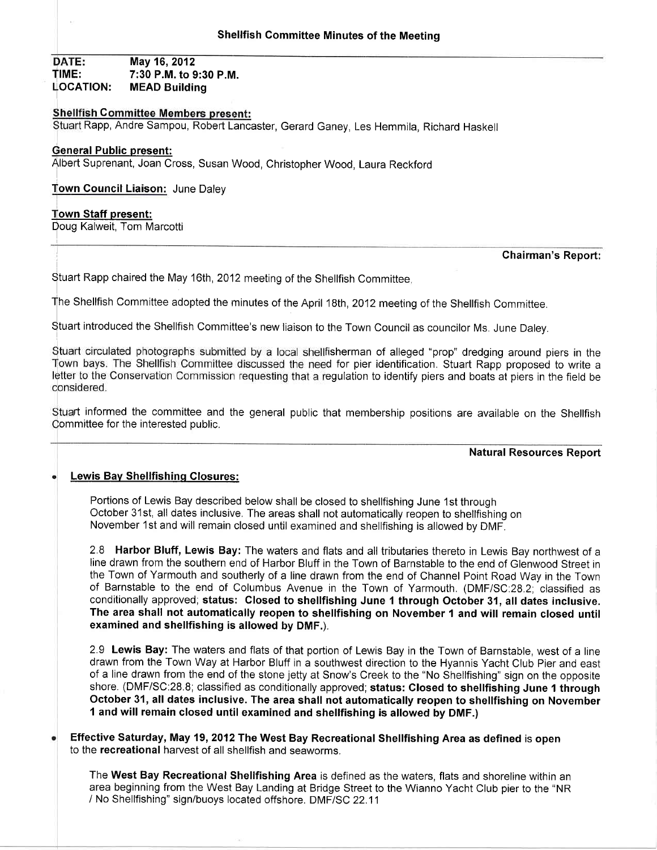DATE: May 16, 2012 TIME: 7:30 P.M. to 9:30 P.M.<br>LOCATION: MEAD Building **MEAD Building** 

# **Shellfish Committee Members present:**

Stuart Rapp, Andre Sampou, Robert Lancaster, Gerard Ganey, Les Hemmila, Richard Haskell

### General Public present:

Albert Suprenant, Joan Cross, Susan Wood, Christopher Wood, Laura Reckford

<u>Town Council Liaison:</u> June Daley

#### Town Staff present:

Doug Kalweit, Tom Marcotti

#### Chairman's Report:

Stuart Rapp chaired the May 16th, 2012 meeting of the Shellfish Committee.

The Shellfish Committee adopted the minutes of the April 18th, 2012 meeting of the Shellfish Committee.

Stuart introduced the Shellfish Committee's new liaison to the Town Council as councilor Ms. June Daley.

Stuart circulated photographs submitted by a local shellfisherman of alleged "prop" dredging around piers in the Town bays. The Shellfish Committee discussed the need for pier identification. Stuart Rapp proposed to write a letter to the Conservation Commission requesting that a regulation to identify piers and boats at piers in the field be considered.

Stuart informed the committee and the general public that membership positions are available on the Shellfish Committee for the interested public.

### Natural Resources Report

# Lewis Bav Shellfishinq Closures:

Portions of Lewis Bay described below shall be closed to shellfishing June 1st through October 31st, all dates inclusive. The areas shall not automatically reopen to shellfishing on November 1st and will remain closed until examined and shellfishing is allowed by DMF,

2.8 Harbor Bluff, Lewis Bay: The waters and flats and all tributaries thereto in Lewis Bay northwest of a line drawn from the southern end of Harbor Bluff in the Town of Barnstable to the end of Glenwood Street in the Town of Yarmouth and southerly of a line drawn from the end of Channel Point Road Way in the Town of Barnstable to the end of Columbus Avenue in the Town of Yarmouth. (DMF/SC:28.2; classified as conditionally approved; status: Closed to shellfishing June 1 through October 31, all dates inclusive. The area shall not automatically reopen to shellfishing on November 1 and will remain closed until examined and shellfishing is allowed by DMF.).

2.9 Lewis Bay: The waters and flats of that portion of Lewis Bay in the Town of Barnstable, west of a line drawn from the Town Way at Harbor Bluff in a southwest direction to the Hyannis Yacht Club Pier and east of a line drawn from the end of the stone jetty at Snow's Creek to the "No Shellfishing" sign on the opposite shore. (DMF/SC:28.8; classified as conditionally approved; status: Closed to shellfishing June 1 through October 31, all dates inclusive. The area shall not automatically reopen to shellfishing on November 1 and will remain closed until examined and shellfishing is allowed by DMF.)

Effective Saturday, May 19, 2012 The West Bay Recreational Shellfishing Area as defined is open to the recreational harvest of all shellfish and seaworms.

The West Bay Recreational Shellfishing Area is defined as the waters, flats and shoreline within an area beginning from the West Bay Landing at Bridge Street to the Wianno Yacht Club pier to the "NR / No Shellfishing" sign/buoys located offshore. DMF/SC 22.1'1